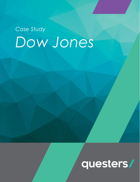## *Case Study Dow Jones*

# questers/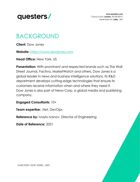

**www.questers.com** 7 Savoy Court, **London**, WC2R 0EX17 Henrik Ibsen Str. **Sofia**, 1407

#### BACKGROUND

**Client:** Dow Jones

**Website:** [https://www.dowjones.com](https://www.dowjones.com/)

**Head Office:** New York, US

**Presentation:** With prominent and respected brands such as The Wall Street Journal, Factiva, MarketWatch and others, Dow Jones is a global leader in news and business intelligence solutions. Its R&D department develops cutting-edge technologies that ensure its customers receive information when and where they need it. Dow Jones is also part of News Corp, a global media and publishing company.

#### **Engaged Consultants:** 10+

**Team expertise:** .Net, DevOps

**Reference by:** Ivaylo Ivanov, Director of Engineering

**Date of Reference:** 2021

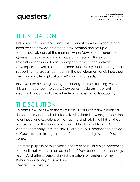

#### THE SITUATION

Unlike most of Questers' clients, who benefit from the expertise of a local service provider to enter a new location and set up a technology division, at the moment when Dow Jones approached Questers, they already had an operating team in Bulgaria. Established back in 2006 as a compact unit of strong software developers, the Sofia office has been successfully collaborating and supporting the global tech team in the development of distinguished web and mobile applications, APIs and data feeds.

In 2020, after assessing the high efficiency and outstanding work of this unit throughout the years, Dow Jones made an important decision to additionally grow the team and expand its capacity.

#### THE SOLUTION

To assist Dow Jones with the swift scale-up of their team in Bulgaria, the company needed a trusted ally with deep knowledge about the talent pool and experience in attracting and retaining highly-skilled tech resources. The successful set-up of the team of News UK, another company from the News Corp group, supported the choice of Questers as a strategic partner for the planned growth of Dow Jones.

The main purpose of this collaboration was to build a high-performing tech unit that will act as an extension of Dow Jones' core technology team. And after a period of synchronisation to transfer it to the Bulgarian subsidiary of Dow Jones.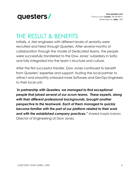

#### THE RESULT & BENEFITS

Initially, 6 .Net engineers with different levels of seniority were recruited and hired through Questers. After several months of collaboration through the model of Dedicated teams, the people were successfully transferred to the Dow Jones' subsidiary in Sofia and fully integrated into the team's structure and culture.

After the first successful transfer, Dow Jones continued to benefit from Questers' expertise and support, trusting the local partner to attract and smoothly onboard more Software and DevOps Engineers to their local unit.

*"In partnership with Questers, we managed to find exceptional people that joined several of our scrum teams. These experts, along with their different professional backgrounds, brought another perspective to the teamwork. Each of them managed to quickly become familiar with the part of our platform related to their work and with the established company practices."* shared Ivaylo Ivanov, Director of Engineering at Dow Jones.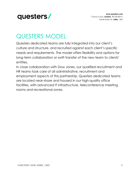

### QUESTERS MODEL

Questers dedicated teams are fully integrated into our client's culture and structure, and recruited against each client's specific needs and requirements. The model offers flexibility and options for long-term collaboration or swift transfer of the new team to clients' entities.

In close collaboration with Dow Jones, our qualified recruitment and HR teams took care of all administrative, recruitment and employment aspects of this partnership. Questers dedicated teams are located near-shore and housed in our high-quality office facilities, with advanced IT infrastructure, teleconference meeting rooms and recreational zones.